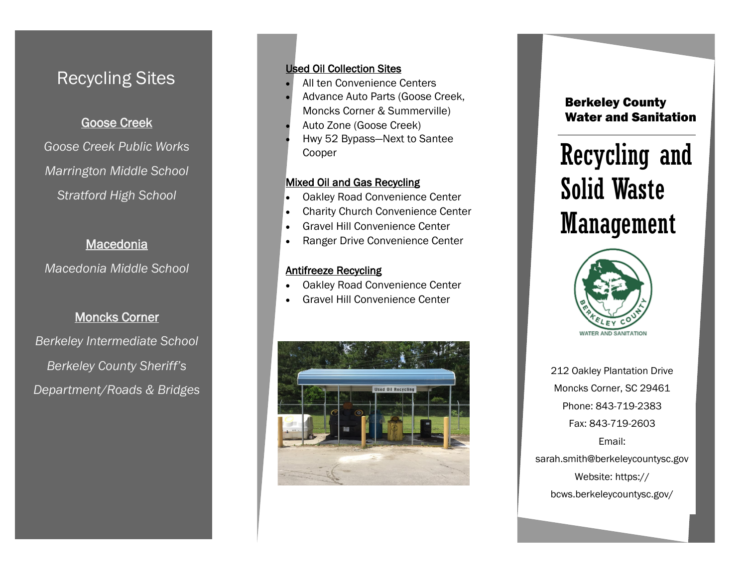# Recycling Sites

# Goose Creek

*Goose Creek Public Works Marrington Middle School Stratford High School*

### **Macedonia**

*Macedonia Middle School*

### Moncks Corner

*Berkeley Intermediate School Berkeley County Sheriff's Department/Roads & Bridges* 

### Used Oil Collection Sites

- All ten Convenience Centers
- Advance Auto Parts (Goose Creek, Moncks Corner & Summerville)
- Auto Zone (Goose Creek)
- Hwy 52 Bypass—Next to Santee Cooper

### **Mixed Oil and Gas Recycling**

- Oakley Road Convenience Center
- Charity Church Convenience Center
- Gravel Hill Convenience Center
- Ranger Drive Convenience Center

### Antifreeze Recycling

I

- Oakley Road Convenience Center
- Gravel Hill Convenience Center



## Berkeley County Water and Sanitation

# Recycling and Solid Waste Management



212 Oakley Plantation Drive Moncks Corner, SC 29461 Phone: 843-719-2383 Fax: 843-719-2603 Email: sarah.smith@berkeleycountysc.gov Website: https://

bcws.berkeleycountysc.gov/